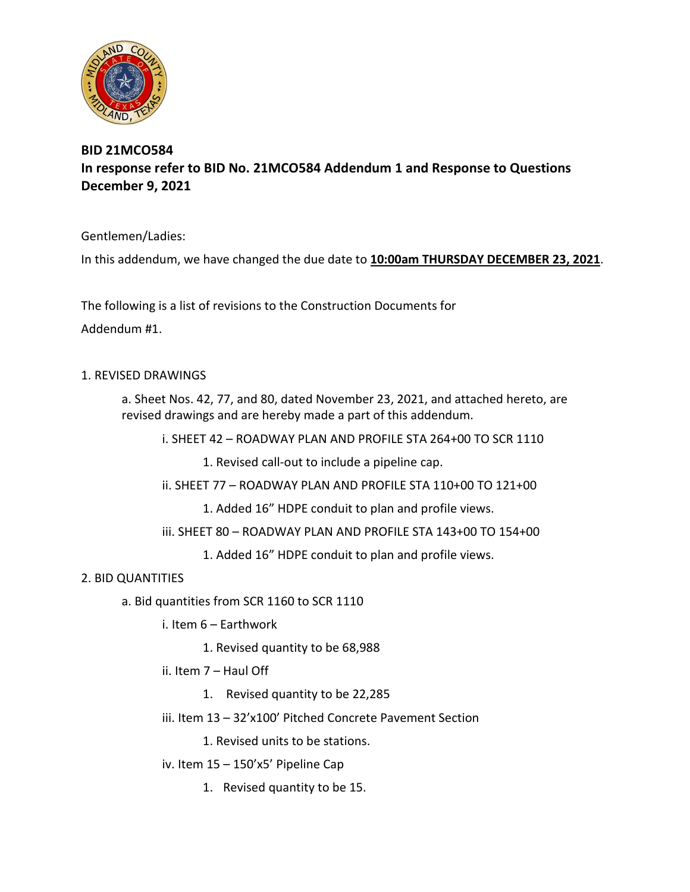

## **BID 21MCO584 In response refer to BID No. 21MCO584 Addendum 1 and Response to Questions December 9, 2021**

Gentlemen/Ladies:

In this addendum, we have changed the due date to **10:00am THURSDAY DECEMBER 23, 2021**.

The following is a list of revisions to the Construction Documents for Addendum #1.

## 1. REVISED DRAWINGS

a. Sheet Nos. 42, 77, and 80, dated November 23, 2021, and attached hereto, are revised drawings and are hereby made a part of this addendum.

i. SHEET 42 – ROADWAY PLAN AND PROFILE STA 264+00 TO SCR 1110

1. Revised call-out to include a pipeline cap.

ii. SHEET 77 – ROADWAY PLAN AND PROFILE STA 110+00 TO 121+00

1. Added 16" HDPE conduit to plan and profile views.

iii. SHEET 80 – ROADWAY PLAN AND PROFILE STA 143+00 TO 154+00

1. Added 16" HDPE conduit to plan and profile views.

## 2. BID QUANTITIES

- a. Bid quantities from SCR 1160 to SCR 1110
	- i. Item 6 Earthwork
		- 1. Revised quantity to be 68,988
	- ii. Item 7 Haul Off
		- 1. Revised quantity to be 22,285
	- iii. Item 13 32'x100' Pitched Concrete Pavement Section

1. Revised units to be stations.

- iv. Item 15 150'x5' Pipeline Cap
	- 1. Revised quantity to be 15.